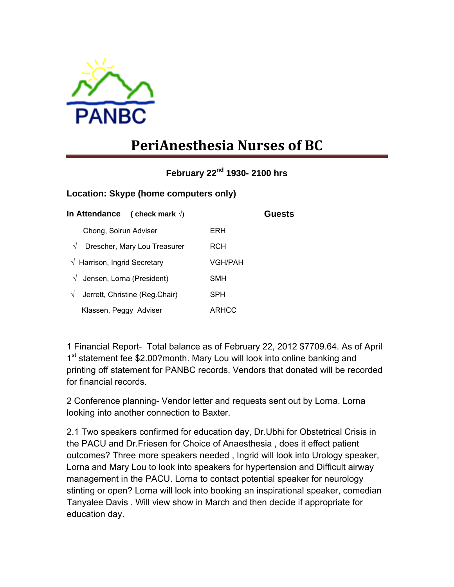

## **PeriAnesthesia Nurses of BC**

**February 22nd 1930- 2100 hrs** 

## **Location: Skype (home computers only)**

| (check mark $\sqrt{ }$ )<br>In Attendance |         | Guests |
|-------------------------------------------|---------|--------|
| Chong, Solrun Adviser                     | ERH     |        |
| Drescher, Mary Lou Treasurer<br>$\sqrt{}$ | RCH     |        |
| $\sqrt{ }$ Harrison, Ingrid Secretary     | VGH/PAH |        |
| Jensen, Lorna (President)<br>$\sqrt{}$    | SMH     |        |
| Jerrett, Christine (Reg.Chair)<br>V       | SPH     |        |
| Klassen, Peggy Adviser                    | ARHCC   |        |

1 Financial Report- Total balance as of February 22, 2012 \$7709.64. As of April 1<sup>st</sup> statement fee \$2.00?month. Mary Lou will look into online banking and printing off statement for PANBC records. Vendors that donated will be recorded for financial records.

2 Conference planning- Vendor letter and requests sent out by Lorna. Lorna looking into another connection to Baxter.

2.1 Two speakers confirmed for education day, Dr.Ubhi for Obstetrical Crisis in the PACU and Dr.Friesen for Choice of Anaesthesia , does it effect patient outcomes? Three more speakers needed , Ingrid will look into Urology speaker, Lorna and Mary Lou to look into speakers for hypertension and Difficult airway management in the PACU. Lorna to contact potential speaker for neurology stinting or open? Lorna will look into booking an inspirational speaker, comedian Tanyalee Davis . Will view show in March and then decide if appropriate for education day.